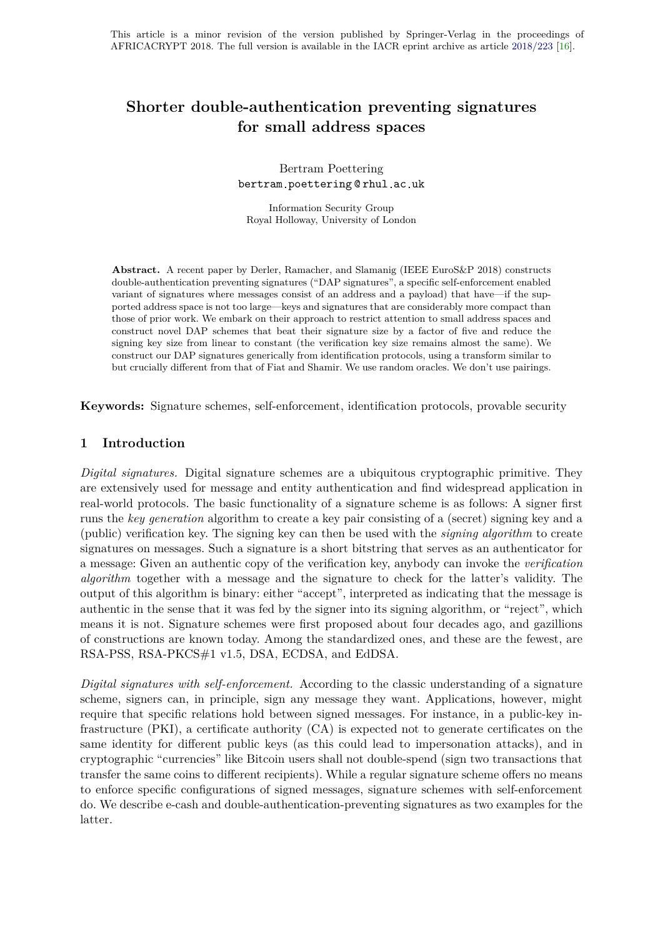# **Shorter double-authentication preventing signatures for small address spaces**

Bertram Poettering bertram poettering @ rhul ac uk

Information Security Group Royal Holloway, University of London

**Abstract.** A recent paper by Derler, Ramacher, and Slamanig (IEEE EuroS&P 2018) constructs double-authentication preventing signatures ("DAP signatures", a specific self-enforcement enabled variant of signatures where messages consist of an address and a payload) that have—if the supported address space is not too large—keys and signatures that are considerably more compact than those of prior work. We embark on their approach to restrict attention to small address spaces and construct novel DAP schemes that beat their signature size by a factor of five and reduce the signing key size from linear to constant (the verification key size remains almost the same). We construct our DAP signatures generically from identification protocols, using a transform similar to but crucially different from that of Fiat and Shamir. We use random oracles. We don't use pairings.

**Keywords:** Signature schemes, self-enforcement, identification protocols, provable security

# **1 Introduction**

*Digital signatures.* Digital signature schemes are a ubiquitous cryptographic primitive. They are extensively used for message and entity authentication and find widespread application in real-world protocols. The basic functionality of a signature scheme is as follows: A signer first runs the *key generation* algorithm to create a key pair consisting of a (secret) signing key and a (public) verification key. The signing key can then be used with the *signing algorithm* to create signatures on messages. Such a signature is a short bitstring that serves as an authenticator for a message: Given an authentic copy of the verification key, anybody can invoke the *verification algorithm* together with a message and the signature to check for the latter's validity. The output of this algorithm is binary: either "accept", interpreted as indicating that the message is authentic in the sense that it was fed by the signer into its signing algorithm, or "reject", which means it is not. Signature schemes were first proposed about four decades ago, and gazillions of constructions are known today. Among the standardized ones, and these are the fewest, are RSA-PSS, RSA-PKCS#1 v1.5, DSA, ECDSA, and EdDSA.

*Digital signatures with self-enforcement.* According to the classic understanding of a signature scheme, signers can, in principle, sign any message they want. Applications, however, might require that specific relations hold between signed messages. For instance, in a public-key infrastructure (PKI), a certificate authority (CA) is expected not to generate certificates on the same identity for different public keys (as this could lead to impersonation attacks), and in cryptographic "currencies" like Bitcoin users shall not double-spend (sign two transactions that transfer the same coins to different recipients). While a regular signature scheme offers no means to enforce specific configurations of signed messages, signature schemes with self-enforcement do. We describe e-cash and double-authentication-preventing signatures as two examples for the latter.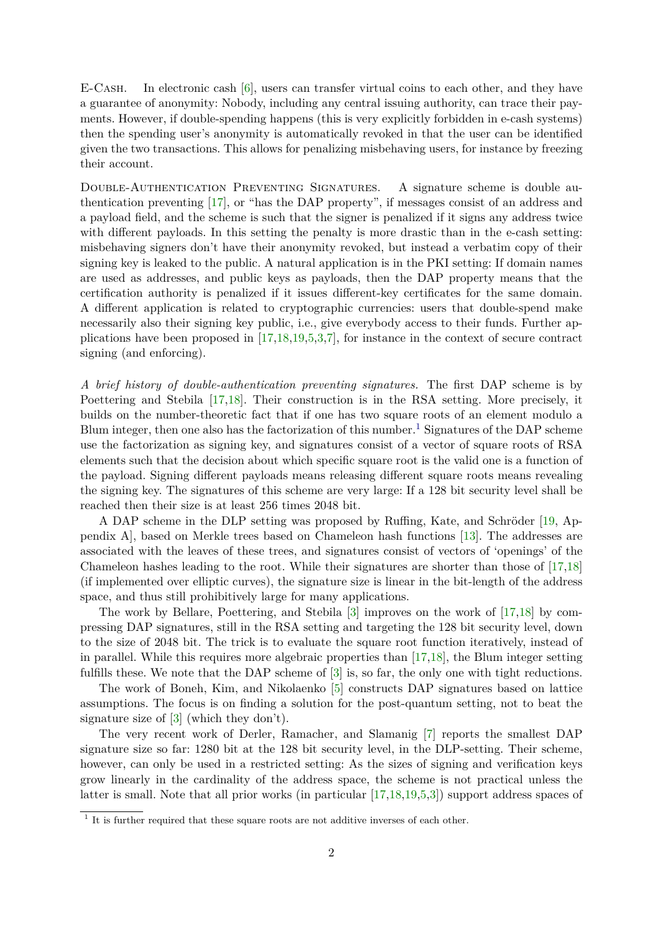E-CASH. In electronic cash  $[6]$ , users can transfer virtual coins to each other, and they have a guarantee of anonymity: Nobody, including any central issuing authority, can trace their payments. However, if double-spending happens (this is very explicitly forbidden in e-cash systems) then the spending user's anonymity is automatically revoked in that the user can be identified given the two transactions. This allows for penalizing misbehaving users, for instance by freezing their account.

Double-Authentication Preventing Signatures. A signature scheme is double authentication preventing [\[17\]](#page-14-1), or "has the DAP property", if messages consist of an address and a payload field, and the scheme is such that the signer is penalized if it signs any address twice with different payloads. In this setting the penalty is more drastic than in the e-cash setting: misbehaving signers don't have their anonymity revoked, but instead a verbatim copy of their signing key is leaked to the public. A natural application is in the PKI setting: If domain names are used as addresses, and public keys as payloads, then the DAP property means that the certification authority is penalized if it issues different-key certificates for the same domain. A different application is related to cryptographic currencies: users that double-spend make necessarily also their signing key public, i.e., give everybody access to their funds. Further applications have been proposed in [\[17,](#page-14-1)[18,](#page-14-2)[19,](#page-14-3)[5,](#page-13-1)[3,](#page-13-2)[7\]](#page-13-3), for instance in the context of secure contract signing (and enforcing).

*A brief history of double-authentication preventing signatures.* The first DAP scheme is by Poettering and Stebila [\[17,](#page-14-1)[18\]](#page-14-2). Their construction is in the RSA setting. More precisely, it builds on the number-theoretic fact that if one has two square roots of an element modulo a Blum integer, then one also has the factorization of this number.<sup>[1](#page-1-0)</sup> Signatures of the DAP scheme use the factorization as signing key, and signatures consist of a vector of square roots of RSA elements such that the decision about which specific square root is the valid one is a function of the payload. Signing different payloads means releasing different square roots means revealing the signing key. The signatures of this scheme are very large: If a 128 bit security level shall be reached then their size is at least 256 times 2048 bit.

A DAP scheme in the DLP setting was proposed by Ruffing, Kate, and Schröder [\[19,](#page-14-3) Appendix A], based on Merkle trees based on Chameleon hash functions [\[13\]](#page-13-4). The addresses are associated with the leaves of these trees, and signatures consist of vectors of 'openings' of the Chameleon hashes leading to the root. While their signatures are shorter than those of [\[17,](#page-14-1)[18\]](#page-14-2) (if implemented over elliptic curves), the signature size is linear in the bit-length of the address space, and thus still prohibitively large for many applications.

The work by Bellare, Poettering, and Stebila [\[3\]](#page-13-2) improves on the work of [\[17,](#page-14-1)[18\]](#page-14-2) by compressing DAP signatures, still in the RSA setting and targeting the 128 bit security level, down to the size of 2048 bit. The trick is to evaluate the square root function iteratively, instead of in parallel. While this requires more algebraic properties than [\[17,](#page-14-1)[18\]](#page-14-2), the Blum integer setting fulfills these. We note that the DAP scheme of [\[3\]](#page-13-2) is, so far, the only one with tight reductions.

The work of Boneh, Kim, and Nikolaenko [\[5\]](#page-13-1) constructs DAP signatures based on lattice assumptions. The focus is on finding a solution for the post-quantum setting, not to beat the signature size of [\[3\]](#page-13-2) (which they don't).

The very recent work of Derler, Ramacher, and Slamanig [\[7\]](#page-13-3) reports the smallest DAP signature size so far: 1280 bit at the 128 bit security level, in the DLP-setting. Their scheme, however, can only be used in a restricted setting: As the sizes of signing and verification keys grow linearly in the cardinality of the address space, the scheme is not practical unless the latter is small. Note that all prior works (in particular [\[17,](#page-14-1)[18,](#page-14-2)[19,](#page-14-3)[5,](#page-13-1)[3\]](#page-13-2)) support address spaces of

<span id="page-1-0"></span><sup>&</sup>lt;sup>1</sup> It is further required that these square roots are not additive inverses of each other.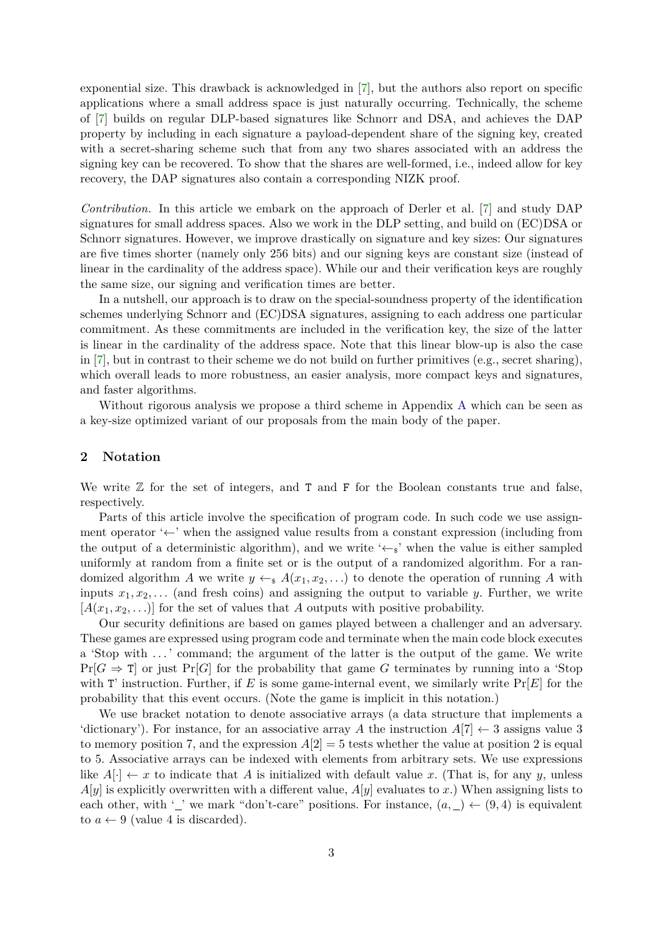exponential size. This drawback is acknowledged in [\[7\]](#page-13-3), but the authors also report on specific applications where a small address space is just naturally occurring. Technically, the scheme of [\[7\]](#page-13-3) builds on regular DLP-based signatures like Schnorr and DSA, and achieves the DAP property by including in each signature a payload-dependent share of the signing key, created with a secret-sharing scheme such that from any two shares associated with an address the signing key can be recovered. To show that the shares are well-formed, i.e., indeed allow for key recovery, the DAP signatures also contain a corresponding NIZK proof.

*Contribution.* In this article we embark on the approach of Derler et al. [\[7\]](#page-13-3) and study DAP signatures for small address spaces. Also we work in the DLP setting, and build on (EC)DSA or Schnorr signatures. However, we improve drastically on signature and key sizes: Our signatures are five times shorter (namely only 256 bits) and our signing keys are constant size (instead of linear in the cardinality of the address space). While our and their verification keys are roughly the same size, our signing and verification times are better.

In a nutshell, our approach is to draw on the special-soundness property of the identification schemes underlying Schnorr and (EC)DSA signatures, assigning to each address one particular commitment. As these commitments are included in the verification key, the size of the latter is linear in the cardinality of the address space. Note that this linear blow-up is also the case in [\[7\]](#page-13-3), but in contrast to their scheme we do not build on further primitives (e.g., secret sharing), which overall leads to more robustness, an easier analysis, more compact keys and signatures, and faster algorithms.

Without rigorous analysis we propose a third scheme in Appendix [A](#page-14-4) which can be seen as a key-size optimized variant of our proposals from the main body of the paper.

# **2 Notation**

We write  $\mathbb Z$  for the set of integers, and  $T$  and  $F$  for the Boolean constants true and false, respectively.

Parts of this article involve the specification of program code. In such code we use assignment operator '←' when the assigned value results from a constant expression (including from the output of a deterministic algorithm), and we write ' $\leftarrow s$ ' when the value is either sampled uniformly at random from a finite set or is the output of a randomized algorithm. For a randomized algorithm *A* we write  $y \leftarrow_s A(x_1, x_2, \ldots)$  to denote the operation of running *A* with inputs  $x_1, x_2, \ldots$  (and fresh coins) and assigning the output to variable *y*. Further, we write  $[A(x_1, x_2, \ldots)]$  for the set of values that A outputs with positive probability.

Our security definitions are based on games played between a challenger and an adversary. These games are expressed using program code and terminate when the main code block executes a 'Stop with ...' command; the argument of the latter is the output of the game. We write  $Pr[G \Rightarrow T]$  or just  $Pr[G]$  for the probability that game *G* terminates by running into a 'Stop with T' instruction. Further, if E is some game-internal event, we similarly write  $Pr[E]$  for the probability that this event occurs. (Note the game is implicit in this notation.)

We use bracket notation to denote associative arrays (a data structure that implements a 'dictionary'). For instance, for an associative array A the instruction  $A[7] \leftarrow 3$  assigns value 3 to memory position 7, and the expression  $A[2] = 5$  tests whether the value at position 2 is equal to 5. Associative arrays can be indexed with elements from arbitrary sets. We use expressions like  $A[\cdot] \leftarrow x$  to indicate that *A* is initialized with default value *x*. (That is, for any *y*, unless  $A[y]$  is explicitly overwritten with a different value,  $A[y]$  evaluates to x.) When assigning lists to each other, with '\_' we mark "don't-care" positions. For instance,  $(a, \_) \leftarrow (9, 4)$  is equivalent to  $a \leftarrow 9$  (value 4 is discarded).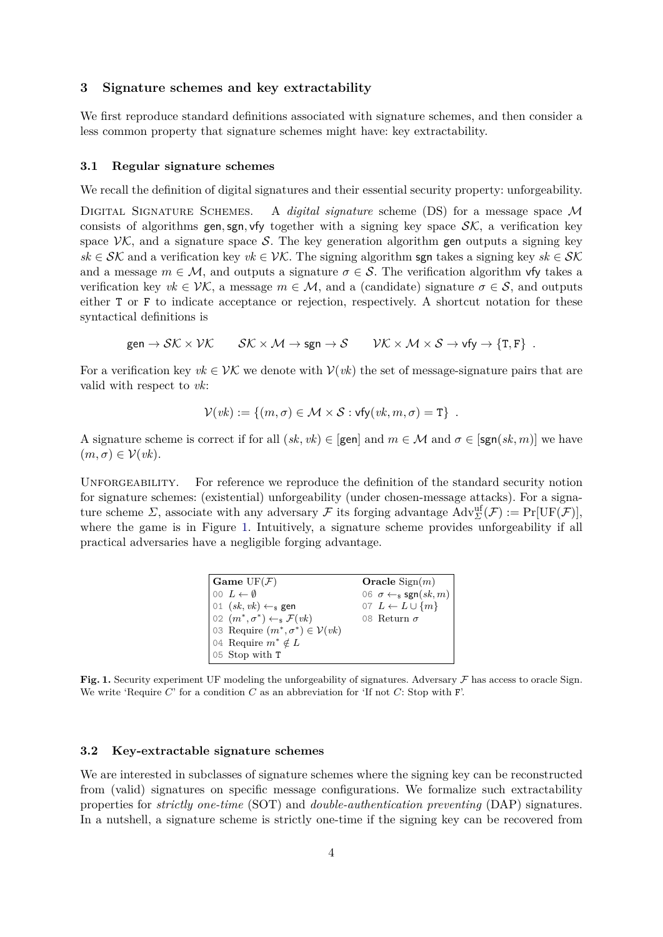## **3 Signature schemes and key extractability**

We first reproduce standard definitions associated with signature schemes, and then consider a less common property that signature schemes might have: key extractability.

### **3.1 Regular signature schemes**

We recall the definition of digital signatures and their essential security property: unforgeability.

DIGITAL SIGNATURE SCHEMES. A *digital signature* scheme (DS) for a message space M consists of algorithms gen, sgn, vfy together with a signing key space  $\mathcal{SK}$ , a verification key space  $VK$ , and a signature space S. The key generation algorithm gen outputs a signing key  $sk \in \mathcal{SK}$  and a verification key  $vk \in \mathcal{VK}$ . The signing algorithm sgn takes a signing key  $sk \in \mathcal{SK}$ and a message  $m \in \mathcal{M}$ , and outputs a signature  $\sigma \in \mathcal{S}$ . The verification algorithm vfy takes a verification key  $vk \in \mathcal{VK}$ , a message  $m \in \mathcal{M}$ , and a (candidate) signature  $\sigma \in \mathcal{S}$ , and outputs either T or F to indicate acceptance or rejection, respectively. A shortcut notation for these syntactical definitions is

 $gen \rightarrow \mathcal{SK} \times \mathcal{VK}$   $\mathcal{SK} \times \mathcal{M} \rightarrow \text{sgn} \rightarrow \mathcal{S}$   $\mathcal{VK} \times \mathcal{M} \times \mathcal{S} \rightarrow \text{vfy} \rightarrow \{T, F\}$ .

For a verification key  $vk \in \mathcal{VK}$  we denote with  $\mathcal{V}(vk)$  the set of message-signature pairs that are valid with respect to *vk*:

$$
\mathcal{V}(vk) := \{(m, \sigma) \in \mathcal{M} \times \mathcal{S} : \mathsf{vfy}(vk, m, \sigma) = \mathsf{T}\}.
$$

A signature scheme is correct if for all  $(sk, vk) \in [gen]$  and  $m \in \mathcal{M}$  and  $\sigma \in [sgn(sk, m)]$  we have  $(m, \sigma) \in \mathcal{V}(vk)$ .

UNFORGEABILITY. For reference we reproduce the definition of the standard security notion for signature schemes: (existential) unforgeability (under chosen-message attacks). For a signature scheme *Σ*, associate with any adversary *F* its forging advantage  $Adv_{\Sigma}^{\text{uf}}(\mathcal{F}) := Pr[UF(\mathcal{F})],$ where the game is in Figure [1.](#page-3-0) Intuitively, a signature scheme provides unforgeability if all practical adversaries have a negligible forging advantage.

| $\mathbf G$ ame UF $(\mathcal F)$                            | <b>Oracle</b> Sign $(m)$            |
|--------------------------------------------------------------|-------------------------------------|
| $[00 L \leftarrow \emptyset]$                                | 06 $\sigma \leftarrow s$ sgn(sk, m) |
| $\vert$ 01 $(sk, vk) \leftarrow_s$ gen                       | 07 $L \leftarrow L \cup \{m\}$      |
| $\big $ 02 $(m^*, \sigma^*) \leftarrow_{\$} \mathcal{F}(vk)$ | 08 Return $\sigma$                  |
| 03 Require $(m^*, \sigma^*) \in \mathcal{V}(vk)$             |                                     |
| 04 Require $m^* \notin L$                                    |                                     |
| 05 Stop with T                                               |                                     |

<span id="page-3-0"></span>**Fig. 1.** Security experiment UF modeling the unforgeability of signatures. Adversary  $\mathcal F$  has access to oracle Sign. We write 'Require *C*' for a condition *C* as an abbreviation for 'If not *C*: Stop with F'.

### **3.2 Key-extractable signature schemes**

We are interested in subclasses of signature schemes where the signing key can be reconstructed from (valid) signatures on specific message configurations. We formalize such extractability properties for *strictly one-time* (SOT) and *double-authentication preventing* (DAP) signatures. In a nutshell, a signature scheme is strictly one-time if the signing key can be recovered from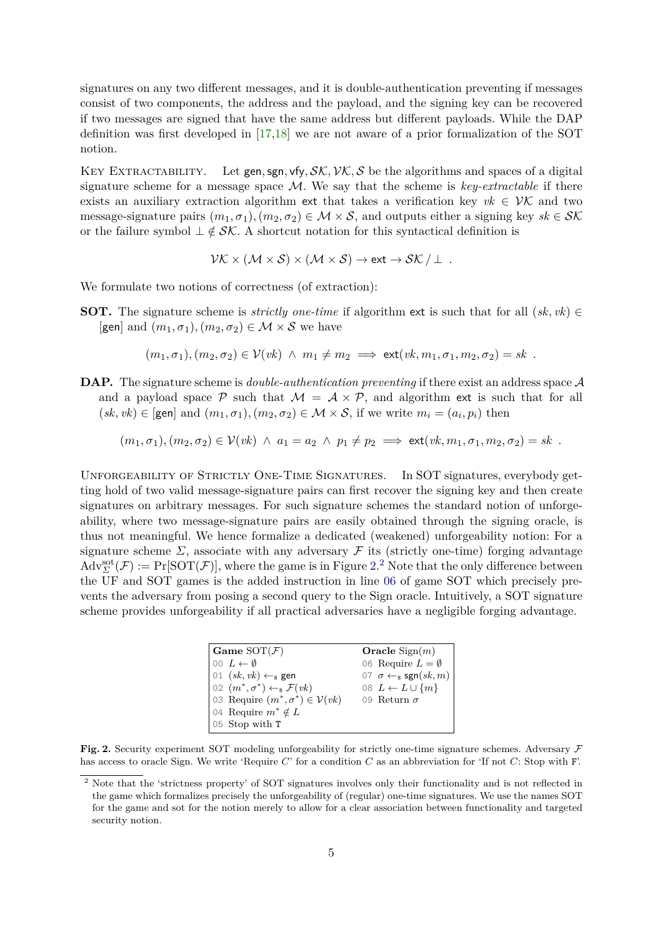signatures on any two different messages, and it is double-authentication preventing if messages consist of two components, the address and the payload, and the signing key can be recovered if two messages are signed that have the same address but different payloads. While the DAP definition was first developed in [\[17,](#page-14-1)[18\]](#page-14-2) we are not aware of a prior formalization of the SOT notion.

KEY EXTRACTABILITY. Let gen, sgn, vfy,  $\mathcal{SK}, \mathcal{VK}, \mathcal{S}$  be the algorithms and spaces of a digital signature scheme for a message space  $M$ . We say that the scheme is  $key\text{-}extractable$  if there exists an auxiliary extraction algorithm ext that takes a verification key  $vk \in \mathcal{VK}$  and two message-signature pairs  $(m_1, \sigma_1), (m_2, \sigma_2) \in \mathcal{M} \times \mathcal{S}$ , and outputs either a signing key  $sk \in \mathcal{SK}$ or the failure symbol  $\perp \notin \mathcal{SK}$ . A shortcut notation for this syntactical definition is

$$
\mathcal{VK}\times (\mathcal{M}\times\mathcal{S})\times (\mathcal{M}\times\mathcal{S})\rightarrow \mathsf{ext} \rightarrow \mathcal{SK}\,/\,\bot\ \, .
$$

We formulate two notions of correctness (of extraction):

**SOT.** The signature scheme is *strictly one-time* if algorithm ext is such that for all  $(sk, vk)$ [gen] and  $(m_1, \sigma_1), (m_2, \sigma_2) \in \mathcal{M} \times \mathcal{S}$  we have

$$
(m_1, \sigma_1), (m_2, \sigma_2) \in \mathcal{V}(vk) \ \land \ m_1 \neq m_2 \implies \mathsf{ext}(vk, m_1, \sigma_1, m_2, \sigma_2) = sk \ .
$$

**DAP.** The signature scheme is *double-authentication preventing* if there exist an address space A and a payload space P such that  $\mathcal{M} = \mathcal{A} \times \mathcal{P}$ , and algorithm ext is such that for all  $(k, v k) \in [\text{gen}]$  and  $(m_1, \sigma_1), (m_2, \sigma_2) \in \mathcal{M} \times \mathcal{S}$ , if we write  $m_i = (a_i, p_i)$  then

$$
(m_1, \sigma_1), (m_2, \sigma_2) \in \mathcal{V}(vk) \land a_1 = a_2 \land p_1 \neq p_2 \implies \mathsf{ext}(vk, m_1, \sigma_1, m_2, \sigma_2) = sk.
$$

Unforgeability of Strictly One-Time Signatures. In SOT signatures, everybody getting hold of two valid message-signature pairs can first recover the signing key and then create signatures on arbitrary messages. For such signature schemes the standard notion of unforgeability, where two message-signature pairs are easily obtained through the signing oracle, is thus not meaningful. We hence formalize a dedicated (weakened) unforgeability notion: For a signature scheme  $\Sigma$ , associate with any adversary  $\mathcal F$  its (strictly one-time) forging advantage  $Adv_{\Sigma}^{sot}(\mathcal{F}) := \Pr[\text{SOT}(\mathcal{F})],$  where the game is in Figure [2.](#page-4-0)<sup>[2](#page-4-1)</sup> Note that the only difference between the UF and SOT games is the added instruction in line [06](#page-4-2) of game SOT which precisely prevents the adversary from posing a second query to the Sign oracle. Intuitively, a SOT signature scheme provides unforgeability if all practical adversaries have a negligible forging advantage.

<span id="page-4-2"></span>

| Game $SOT(\mathcal{F})$                                      | <b>Oracle</b> Sign $(m)$               |
|--------------------------------------------------------------|----------------------------------------|
| 00 $L \leftarrow \emptyset$                                  | 06 Require $L = \emptyset$             |
| $\vert$ 01 $(sk, vk) \leftarrow_s$ gen                       | 07 $\sigma \leftarrow s$ sgn $(sk, m)$ |
| $\big $ 02 $(m^*, \sigma^*) \leftarrow_{\$} \mathcal{F}(vk)$ | 08 $L \leftarrow L \cup \{m\}$         |
| 03 Require $(m^*, \sigma^*) \in \mathcal{V}(vk)$             | 09 Return $\sigma$                     |
| 04 Require $m^* \notin L$                                    |                                        |
| 05 Stop with T                                               |                                        |

<span id="page-4-0"></span>**Fig. 2.** Security experiment SOT modeling unforgeability for strictly one-time signature schemes. Adversary  $\mathcal F$ has access to oracle Sign. We write 'Require *C*' for a condition *C* as an abbreviation for 'If not *C*: Stop with F'.

<span id="page-4-1"></span><sup>&</sup>lt;sup>2</sup> Note that the 'strictness property' of SOT signatures involves only their functionality and is not reflected in the game which formalizes precisely the unforgeability of (regular) one-time signatures. We use the names SOT for the game and sot for the notion merely to allow for a clear association between functionality and targeted security notion.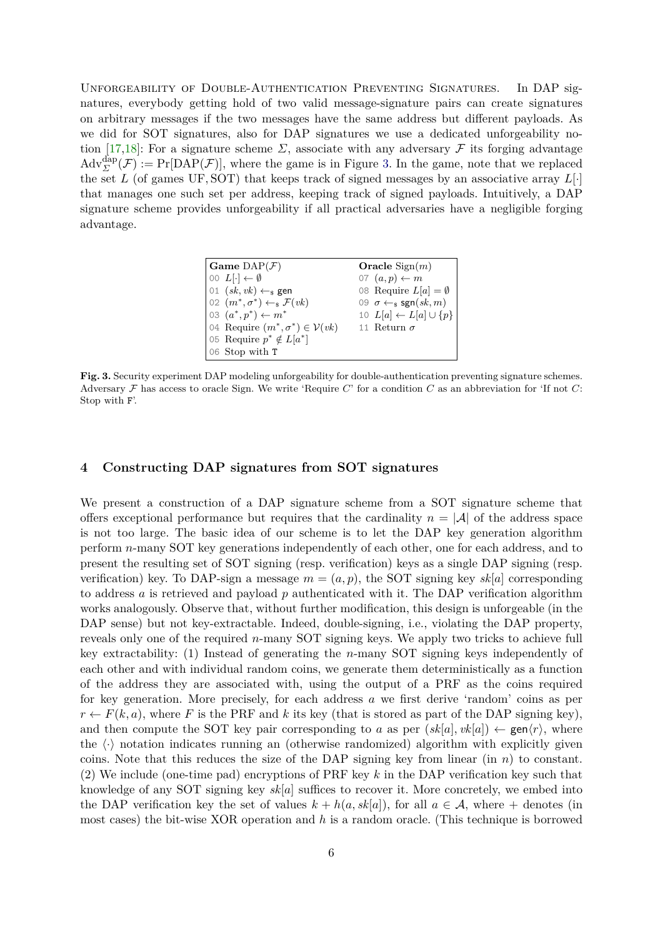Unforgeability of Double-Authentication Preventing Signatures. In DAP signatures, everybody getting hold of two valid message-signature pairs can create signatures on arbitrary messages if the two messages have the same address but different payloads. As we did for SOT signatures, also for DAP signatures we use a dedicated unforgeability no-tion [\[17,](#page-14-1)[18\]](#page-14-2): For a signature scheme  $\Sigma$ , associate with any adversary  $\mathcal F$  its forging advantage  $\mathrm{Adv}_{\Sigma}^{\text{dap}}(\mathcal{F}) := \Pr[\mathrm{DAP}(\mathcal{F})],$  where the game is in Figure [3.](#page-5-0) In the game, note that we replaced the set *L* (of games UF, SOT) that keeps track of signed messages by an associative array  $L[\cdot]$ that manages one such set per address, keeping track of signed payloads. Intuitively, a DAP signature scheme provides unforgeability if all practical adversaries have a negligible forging advantage.



<span id="page-5-0"></span>**Fig. 3.** Security experiment DAP modeling unforgeability for double-authentication preventing signature schemes. Adversary  $\mathcal F$  has access to oracle Sign. We write 'Require  $C$ ' for a condition  $C$  as an abbreviation for 'If not  $C$ : Stop with F'.

## <span id="page-5-1"></span>**4 Constructing DAP signatures from SOT signatures**

We present a construction of a DAP signature scheme from a SOT signature scheme that offers exceptional performance but requires that the cardinality  $n = |\mathcal{A}|$  of the address space is not too large. The basic idea of our scheme is to let the DAP key generation algorithm perform *n*-many SOT key generations independently of each other, one for each address, and to present the resulting set of SOT signing (resp. verification) keys as a single DAP signing (resp. verification) key. To DAP-sign a message  $m = (a, p)$ , the SOT signing key  $sk[a]$  corresponding to address *a* is retrieved and payload *p* authenticated with it. The DAP verification algorithm works analogously. Observe that, without further modification, this design is unforgeable (in the DAP sense) but not key-extractable. Indeed, double-signing, i.e., violating the DAP property, reveals only one of the required *n*-many SOT signing keys. We apply two tricks to achieve full key extractability: (1) Instead of generating the *n*-many SOT signing keys independently of each other and with individual random coins, we generate them deterministically as a function of the address they are associated with, using the output of a PRF as the coins required for key generation. More precisely, for each address *a* we first derive 'random' coins as per  $r \leftarrow F(k, a)$ , where *F* is the PRF and *k* its key (that is stored as part of the DAP signing key), and then compute the SOT key pair corresponding to *a* as per  $(sk[a], vk[a]) \leftarrow \text{gen}\langle r\rangle$ , where the  $\langle \cdot \rangle$  notation indicates running an (otherwise randomized) algorithm with explicitly given coins. Note that this reduces the size of the DAP signing key from linear (in *n*) to constant. (2) We include (one-time pad) encryptions of PRF key *k* in the DAP verification key such that knowledge of any SOT signing key *sk*[*a*] suffices to recover it. More concretely, we embed into the DAP verification key the set of values  $k + h(a, sk[a])$ , for all  $a \in \mathcal{A}$ , where + denotes (in most cases) the bit-wise XOR operation and *h* is a random oracle. (This technique is borrowed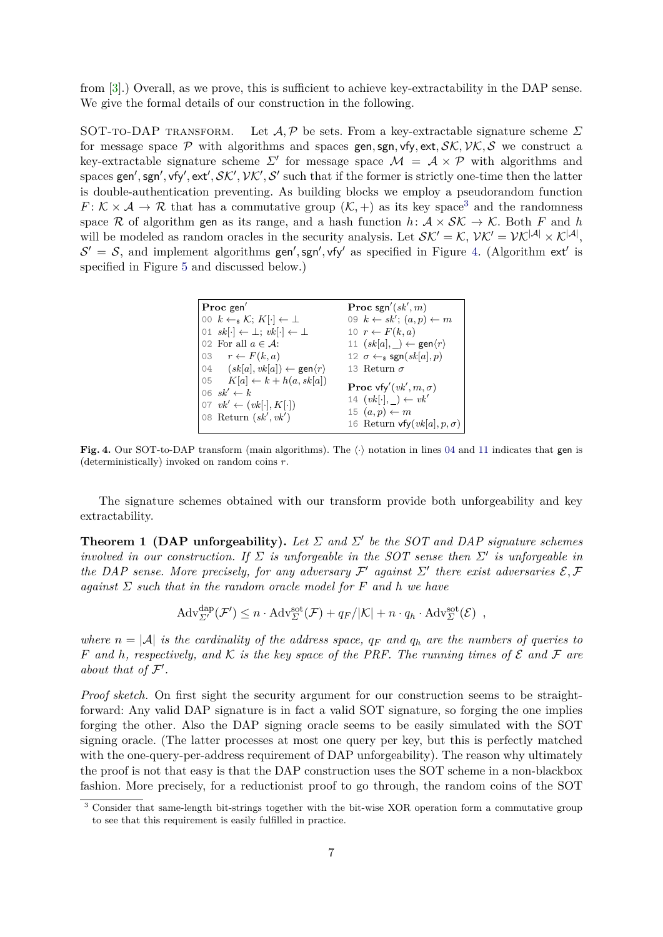from [\[3\]](#page-13-2).) Overall, as we prove, this is sufficient to achieve key-extractability in the DAP sense. We give the formal details of our construction in the following.

SOT-to-DAP transform. Let A*,*P be sets. From a key-extractable signature scheme *Σ* for message space  $P$  with algorithms and spaces gen, sgn, vfy, ext,  $\mathcal{SK}, \mathcal{VK}, \mathcal{S}$  we construct a key-extractable signature scheme  $\Sigma'$  for message space  $\mathcal{M} = \mathcal{A} \times \mathcal{P}$  with algorithms and spaces gen', sgn', vfy', ext',  $\mathcal{SK}'$ ,  $\mathcal{VK}'$ ,  $\mathcal{S}'$  such that if the former is strictly one-time then the latter is double-authentication preventing. As building blocks we employ a pseudorandom function  $F: \mathcal{K} \times \mathcal{A} \to \mathcal{R}$  that has a commutative group  $(\mathcal{K}, +)$  as its key space<sup>[3](#page-6-0)</sup> and the randomness space R of algorithm gen as its range, and a hash function  $h: \mathcal{A} \times \mathcal{SK} \to \mathcal{K}$ . Both F and h will be modeled as random oracles in the security analysis. Let  $\mathcal{SK}' = \mathcal{K}, \mathcal{VK}' = \mathcal{VK}^{|\mathcal{A}|} \times \mathcal{K}^{|\mathcal{A}|}$ ,  $S' = S$ , and implement algorithms gen', sgn', vfy' as specified in Figure [4.](#page-6-1) (Algorithm ext' is specified in Figure [5](#page-8-0) and discussed below.)

<span id="page-6-3"></span><span id="page-6-2"></span>

| $ $ Proc gen'                                                                                                                                                                                         | <b>Proc</b> sgn'(sk', m)                                                                                                                             |
|-------------------------------------------------------------------------------------------------------------------------------------------------------------------------------------------------------|------------------------------------------------------------------------------------------------------------------------------------------------------|
| $\vert$ 00 $k \leftarrow_{\rm s} \mathcal{K}; K \vert \cdot \vert \leftarrow \bot$                                                                                                                    | 09 $k \leftarrow sk'; (a, p) \leftarrow m$                                                                                                           |
| $\begin{bmatrix} 01 & sk[\cdot] \leftarrow \bot; v k[\cdot] \leftarrow \bot \end{bmatrix}$                                                                                                            | 10 $r \leftarrow F(k, a)$                                                                                                                            |
| 02 For all $a \in \mathcal{A}$ :                                                                                                                                                                      | 11 $(sk[a], \_) \leftarrow \text{gen}\langle r \rangle$                                                                                              |
| $\begin{array}{ccc} \n\begin{array}{l} \n\end{array} 03 & r \leftarrow F(k, a) \n\end{array}$                                                                                                         | 12 $\sigma \leftarrow s$ sgn $(sk[a], p)$                                                                                                            |
| $\begin{array}{ll} \vert \circ 4 & (sk[a], vk[a]) \leftarrow \mathsf{gen}\langle r \rangle \end{array}$                                                                                               | 13 Return $\sigma$                                                                                                                                   |
| $\begin{bmatrix} 05 & K[a] \leftarrow k + h(a, sk[a]) \end{bmatrix}$<br>06 $sk' \leftarrow k$<br>$\begin{bmatrix} 07 & v k' \leftarrow (vk[\cdot], K[\cdot]) \end{bmatrix}$<br>08 Return $(sk', vk')$ | <b>Proc</b> vfy'(vk', m, $\sigma$ )<br>14 $(vk[\cdot], \_) \leftarrow vk'$<br>15 $(a, p) \leftarrow m$<br>16 Return $\mathsf{vfy}(vk[a], p, \sigma)$ |

<span id="page-6-1"></span>**Fig. 4.** Our SOT-to-DAP transform (main algorithms). The  $\langle \cdot \rangle$  notation in lines [04](#page-6-2) and [11](#page-6-3) indicates that gen is (deterministically) invoked on random coins *r*.

The signature schemes obtained with our transform provide both unforgeability and key extractability.

**Theorem 1 (DAP unforgeability).** Let  $\Sigma$  and  $\Sigma'$  be the SOT and DAP signature schemes *involved in our construction. If*  $\Sigma$  *is unforgeable in the SOT sense then*  $\Sigma'$  *is unforgeable in the DAP sense. More precisely, for any adversary*  $\mathcal{F}'$  against  $\Sigma'$  there exist adversaries  $\mathcal{E}, \mathcal{F}$ *against Σ such that in the random oracle model for F and h we have*

$$
\mathrm{Adv}_{\Sigma'}^{\mathrm{dap}}(\mathcal{F}') \leq n \cdot \mathrm{Adv}_{\Sigma}^{\mathrm{sot}}(\mathcal{F}) + q_F/|\mathcal{K}| + n \cdot q_h \cdot \mathrm{Adv}_{\Sigma}^{\mathrm{sot}}(\mathcal{E}) ,
$$

*where*  $n = |A|$  *is the cardinality of the address space,*  $q_F$  *and*  $q_h$  *are the numbers of queries to F* and *h*, respectively, and K is the key space of the PRF. The running times of  $\mathcal E$  and  $\mathcal F$  are *about that of*  $\mathcal{F}'$ *.* 

*Proof sketch.* On first sight the security argument for our construction seems to be straightforward: Any valid DAP signature is in fact a valid SOT signature, so forging the one implies forging the other. Also the DAP signing oracle seems to be easily simulated with the SOT signing oracle. (The latter processes at most one query per key, but this is perfectly matched with the one-query-per-address requirement of DAP unforgeability). The reason why ultimately the proof is not that easy is that the DAP construction uses the SOT scheme in a non-blackbox fashion. More precisely, for a reductionist proof to go through, the random coins of the SOT

<span id="page-6-0"></span><sup>&</sup>lt;sup>3</sup> Consider that same-length bit-strings together with the bit-wise XOR operation form a commutative group to see that this requirement is easily fulfilled in practice.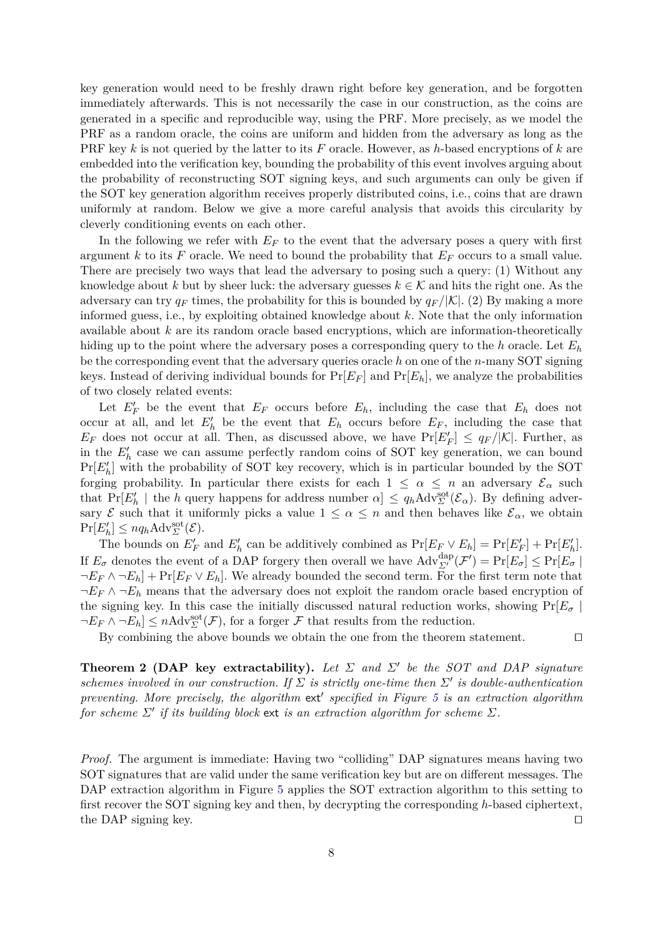key generation would need to be freshly drawn right before key generation, and be forgotten immediately afterwards. This is not necessarily the case in our construction, as the coins are generated in a specific and reproducible way, using the PRF. More precisely, as we model the PRF as a random oracle, the coins are uniform and hidden from the adversary as long as the PRF key *k* is not queried by the latter to its *F* oracle. However, as *h*-based encryptions of *k* are embedded into the verification key, bounding the probability of this event involves arguing about the probability of reconstructing SOT signing keys, and such arguments can only be given if the SOT key generation algorithm receives properly distributed coins, i.e., coins that are drawn uniformly at random. Below we give a more careful analysis that avoids this circularity by cleverly conditioning events on each other.

In the following we refer with  $E_F$  to the event that the adversary poses a query with first argument *k* to its *F* oracle. We need to bound the probability that *E<sup>F</sup>* occurs to a small value. There are precisely two ways that lead the adversary to posing such a query: (1) Without any knowledge about k but by sheer luck: the adversary guesses  $k \in \mathcal{K}$  and hits the right one. As the adversary can try  $q_F$  times, the probability for this is bounded by  $q_F/|\mathcal{K}|$ . (2) By making a more informed guess, i.e., by exploiting obtained knowledge about *k*. Note that the only information available about *k* are its random oracle based encryptions, which are information-theoretically hiding up to the point where the adversary poses a corresponding query to the *h* oracle. Let *E<sup>h</sup>* be the corresponding event that the adversary queries oracle *h* on one of the *n*-many SOT signing keys. Instead of deriving individual bounds for  $Pr[E_F]$  and  $Pr[E_h]$ , we analyze the probabilities of two closely related events:

Let  $E'_F$  be the event that  $E_F$  occurs before  $E_h$ , including the case that  $E_h$  does not occur at all, and let  $E'_{h}$  be the event that  $E_{h}$  occurs before  $E_{F}$ , including the case that  $E_F$  does not occur at all. Then, as discussed above, we have  $Pr[E'_F] \le q_F / |\mathcal{K}|$ . Further, as in the  $E'_{h}$  case we can assume perfectly random coins of SOT key generation, we can bound  $Pr[E'_{h}]$  with the probability of SOT key recovery, which is in particular bounded by the SOT forging probability. In particular there exists for each  $1 \leq \alpha \leq n$  an adversary  $\mathcal{E}_{\alpha}$  such that Pr[ $E'_h$  | the *h* query happens for address number  $\alpha$ ]  $\leq q_h \text{Adv}_{\Sigma}^{\text{sot}}(\mathcal{E}_{\alpha})$ . By defining adversary  $\mathcal E$  such that it uniformly picks a value  $1 \leq \alpha \leq n$  and then behaves like  $\mathcal E_\alpha$ , we obtain  $Pr[E'_{h}] \le nq_h \text{Adv}_{\Sigma}^{\text{sot}}(\mathcal{E}).$ 

The bounds on  $E'_F$  and  $E'_h$  can be additively combined as  $Pr[E_F \vee E_h] = Pr[E'_F] + Pr[E'_h]$ . If  $E_{\sigma}$  denotes the event of a DAP forgery then overall we have  $Adv_{\Sigma'}^{dap}(\mathcal{F}') = Pr[E_{\sigma}] \le Pr[E_{\sigma}]$  $\neg E_F \wedge \neg E_h$  + Pr[ $E_F \vee E_h$ ]. We already bounded the second term. For the first term note that ¬*E<sup>F</sup>* ∧ ¬*E<sup>h</sup>* means that the adversary does not exploit the random oracle based encryption of the signing key. In this case the initially discussed natural reduction works, showing  $Pr[E_{\sigma}]$  $\neg E_F \wedge \neg E_h$   $\leq$  *n*Adv<sup>sot</sup> $(\mathcal{F})$ , for a forger  $\mathcal{F}$  that results from the reduction.

By combining the above bounds we obtain the one from the theorem statement.  $\Box$ 

**Theorem 2 (DAP key extractability).** *Let*  $\Sigma$  *and*  $\Sigma'$  *be the SOT and DAP signature schemes involved in our construction. If*  $\Sigma$  *is strictly one-time then*  $\Sigma'$  *is double-authentication* preventing. More precisely, the algorithm  $ext'$  specified in Figure [5](#page-8-0) is an extraction algorithm *for scheme*  $\Sigma'$  *if its building block* ext *is an extraction algorithm for scheme*  $\Sigma$ *.* 

*Proof.* The argument is immediate: Having two "colliding" DAP signatures means having two SOT signatures that are valid under the same verification key but are on different messages. The DAP extraction algorithm in Figure [5](#page-8-0) applies the SOT extraction algorithm to this setting to first recover the SOT signing key and then, by decrypting the corresponding *h*-based ciphertext, the DAP signing key.  $\Box$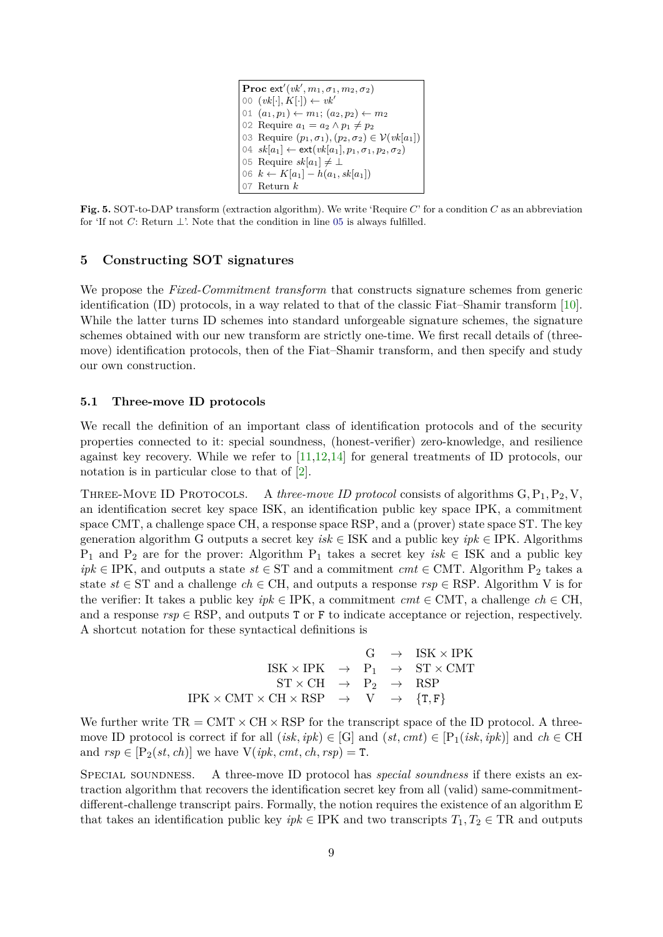<span id="page-8-1"></span> $\mathbf{Proc}\ \mathsf{ext}'(\mathit{vk}', m_1, \sigma_1, m_2, \sigma_2)$ 00  $(vk[\cdot], K[\cdot]) \leftarrow vk'$ 01 (*a*<sub>1</sub>*, p*<sub>1</sub>) ← *m*<sub>1</sub>; (*a*<sub>2</sub>*, p*<sub>2</sub>) ← *m*<sub>2</sub> 02 Require  $a_1 = a_2 \wedge p_1 \neq p_2$ 03 Require  $(p_1, \sigma_1), (p_2, \sigma_2) \in \mathcal{V}(vk[a_1])$  $04$  *sk*[ $a_1$ ] ← ext( $vk[a_1], p_1, \sigma_1, p_2, \sigma_2)$ 05 Require  $sk[a_1] \neq \perp$ 06  $k$  ←  $K[a_1] - h(a_1, sk[a_1])$ 07 Return *k*

<span id="page-8-0"></span>**Fig. 5.** SOT-to-DAP transform (extraction algorithm). We write 'Require *C*' for a condition *C* as an abbreviation for 'If not *C*: Return  $\perp$ '. Note that the condition in line [05](#page-8-1) is always fulfilled.

# <span id="page-8-2"></span>**5 Constructing SOT signatures**

We propose the *Fixed-Commitment transform* that constructs signature schemes from generic identification (ID) protocols, in a way related to that of the classic Fiat–Shamir transform [\[10\]](#page-13-5). While the latter turns ID schemes into standard unforgeable signature schemes, the signature schemes obtained with our new transform are strictly one-time. We first recall details of (threemove) identification protocols, then of the Fiat–Shamir transform, and then specify and study our own construction.

#### **5.1 Three-move ID protocols**

We recall the definition of an important class of identification protocols and of the security properties connected to it: special soundness, (honest-verifier) zero-knowledge, and resilience against key recovery. While we refer to [\[11,](#page-13-6)[12,](#page-13-7)[14\]](#page-13-8) for general treatments of ID protocols, our notation is in particular close to that of [\[2\]](#page-13-9).

Three-Move ID Protocols. A *three-move ID protocol* consists of algorithms G*,*P1*,*P2*,* V, an identification secret key space ISK, an identification public key space IPK, a commitment space CMT, a challenge space CH, a response space RSP, and a (prover) state space ST. The key generation algorithm G outputs a secret key *isk*  $\in$  ISK and a public key *ipk*  $\in$  IPK. Algorithms P<sub>1</sub> and P<sub>2</sub> are for the prover: Algorithm P<sub>1</sub> takes a secret key *isk*  $\in$  ISK and a public key  $ipk \in$  IPK, and outputs a state  $st \in ST$  and a commitment  $cnt \in CMT$ . Algorithm P<sub>2</sub> takes a state  $st \in ST$  and a challenge  $ch \in CH$ , and outputs a response  $rsp \in RSP$ . Algorithm V is for the verifier: It takes a public key  $ipk \in \text{IPK}$ , a commitment  $cmt \in \text{CMT}$ , a challenge  $ch \in \text{CH}$ , and a response  $rsp \in RSP$ , and outputs T or F to indicate acceptance or rejection, respectively. A shortcut notation for these syntactical definitions is

$$
\begin{array}{ccc} & G & \to & ISK \times IPK \\ & ISK \times IPK & \to & P_1 & \to & ST \times CMT \\ & ST \times CH & \to & P_2 & \to & RSP \\ \text{IPK} \times CMT \times CH \times RSP & \to & V & \to & \{T,F\} \end{array}
$$

We further write  $TR = CMT \times CH \times RSP$  for the transcript space of the ID protocol. A threemove ID protocol is correct if for all  $(isk, ipk) \in [G]$  and  $(st, cmt) \in [P_1(isk, ipk)]$  and  $ch \in \text{CH}$ and  $rsp \in [P_2(st, ch)]$  we have  $V(\text{ipk}, \text{cmt}, \text{ch}, \text{rsp}) = T$ .

Special soundness. A three-move ID protocol has *special soundness* if there exists an extraction algorithm that recovers the identification secret key from all (valid) same-commitmentdifferent-challenge transcript pairs. Formally, the notion requires the existence of an algorithm E that takes an identification public key  $ipk \in \text{IPK}$  and two transcripts  $T_1, T_2 \in \text{TR}$  and outputs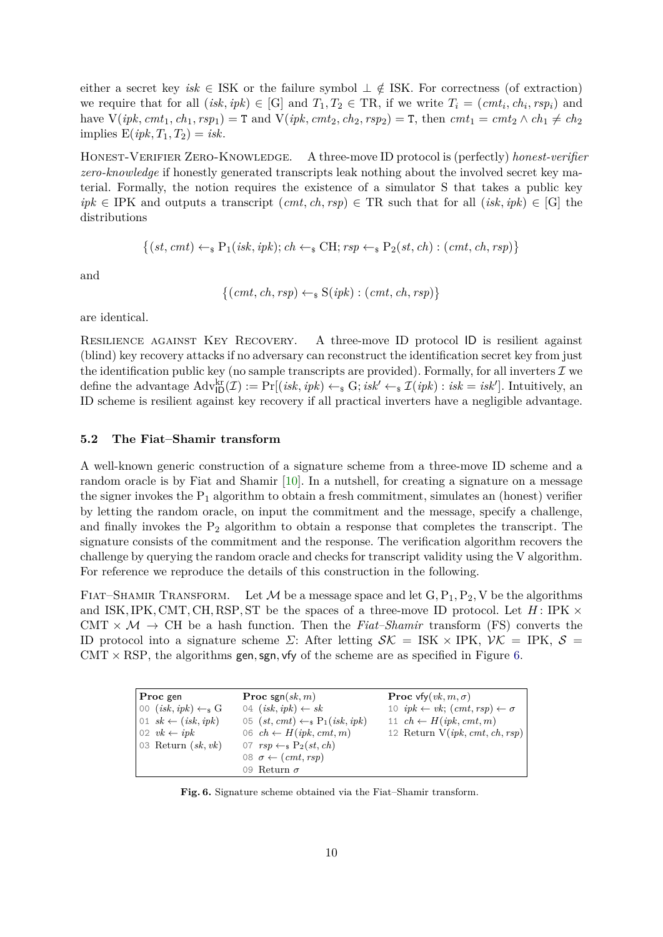either a secret key *isk* ∈ ISK or the failure symbol  $\perp \notin$  ISK. For correctness (of extraction) we require that for all  $(isk, ipk) \in [G]$  and  $T_1, T_2 \in TR$ , if we write  $T_i = (cnt_i, ch_i, rsp_i)$  and have  $V(ipk, cmt_1, ch_1, rsp_1) = T$  and  $V(ipk, cmt_2, ch_2, rsp_2) = T$ , then  $cmt_1 = cmt_2 ∧ ch_1 ≠ ch_2$  $\text{implies } E(ipk, T_1, T_2) = isk.$ 

Honest-Verifier Zero-Knowledge. A three-move ID protocol is (perfectly) *honest-verifier zero-knowledge* if honestly generated transcripts leak nothing about the involved secret key material. Formally, the notion requires the existence of a simulator S that takes a public key  $ipk \in \text{IPK}$  and outputs a transcript  $(cmt, ck, rsp) \in \text{TR}$  such that for all  $(isk, ibk) \in \text{[G]}$  the distributions

 $\{(st, cmt) \leftarrow_s P_1(isk, ipk); ch \leftarrow_s CH; rsp \leftarrow_s P_2(st, ch) : (cmt, ch, rsp)\}$ 

and

$$
\{(cnt, ch, rsp) \leftarrow_s S(\text{ipk}) : (cnt, ch, rsp)\}
$$

are identical.

Resilience against Key Recovery. A three-move ID protocol ID is resilient against (blind) key recovery attacks if no adversary can reconstruct the identification secret key from just the identification public key (no sample transcripts are provided). Formally, for all inverters  $\mathcal I$  we define the advantage  $\text{Adv}_{\mathsf{ID}}^{\text{kr}}(\mathcal{I}) := \Pr[(isk, ipk) \leftarrow_s G; isk' \leftarrow_s \mathcal{I}(ipk) : isk = isk']$ . Intuitively, an ID scheme is resilient against key recovery if all practical inverters have a negligible advantage.

#### **5.2 The Fiat–Shamir transform**

A well-known generic construction of a signature scheme from a three-move ID scheme and a random oracle is by Fiat and Shamir [\[10\]](#page-13-5). In a nutshell, for creating a signature on a message the signer invokes the  $P_1$  algorithm to obtain a fresh commitment, simulates an (honest) verifier by letting the random oracle, on input the commitment and the message, specify a challenge, and finally invokes the  $P_2$  algorithm to obtain a response that completes the transcript. The signature consists of the commitment and the response. The verification algorithm recovers the challenge by querying the random oracle and checks for transcript validity using the V algorithm. For reference we reproduce the details of this construction in the following.

FIAT–SHAMIR TRANSFORM. Let M be a message space and let  $G, P_1, P_2, V$  be the algorithms and ISK, IPK, CMT, CH, RSP, ST be the spaces of a three-move ID protocol. Let  $H:$  IPK  $\times$ CMT  $\times$  M  $\rightarrow$  CH be a hash function. Then the *Fiat–Shamir* transform (FS) converts the ID protocol into a signature scheme *Σ*: After letting  $\mathcal{SK} = \text{ISK} \times \text{IPK}$ ,  $\mathcal{VK} = \text{IPK}$ ,  $\mathcal{S} =$  $CMT \times RSP$ , the algorithms gen, sgn, vfy of the scheme are as specified in Figure [6.](#page-9-0)

| $ $ Proc gen                           | <b>Proc</b> sgn $(sk, m)$                 | <b>Proc</b> vfy $(vk, m, \sigma)$                            |
|----------------------------------------|-------------------------------------------|--------------------------------------------------------------|
| $\vert$ 00 $(isk, ipk) \leftarrow_s G$ | 04 $(isk, ipk) \leftarrow sk$             | 10 $ipk \leftarrow vk$ ; $(cmt, resp) \leftarrow \sigma$     |
| $\vert$ 01 sk $\leftarrow$ (isk, ipk)  | 05 $(st, cmt) \leftarrow_s P_1(isk, ipk)$ | 11 $ch \leftarrow H(jpk, cmt, m)$                            |
| $\vert 02 \ vk \leftarrow ipk$         | 06 $ch \leftarrow H(jpk, cmt, m)$         | 12 Return $V(\text{ipk}, \text{cmt}, \text{ch}, \text{rsp})$ |
| $\vert$ 03 Return $(sk, vk)$           | 07 $rsp \leftarrow_s P_2(st, ch)$         |                                                              |
|                                        | 08 $\sigma \leftarrow (cnt, rsp)$         |                                                              |
|                                        | 09 Return $\sigma$                        |                                                              |

<span id="page-9-0"></span>**Fig. 6.** Signature scheme obtained via the Fiat–Shamir transform.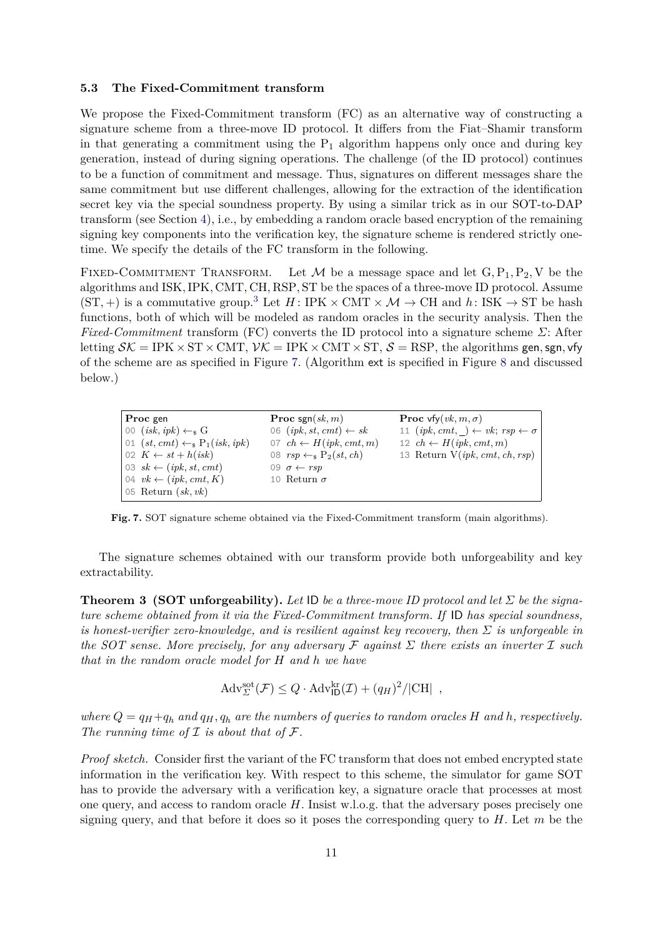### **5.3 The Fixed-Commitment transform**

We propose the Fixed-Commitment transform (FC) as an alternative way of constructing a signature scheme from a three-move ID protocol. It differs from the Fiat–Shamir transform in that generating a commitment using the  $P_1$  algorithm happens only once and during key generation, instead of during signing operations. The challenge (of the ID protocol) continues to be a function of commitment and message. Thus, signatures on different messages share the same commitment but use different challenges, allowing for the extraction of the identification secret key via the special soundness property. By using a similar trick as in our SOT-to-DAP transform (see Section [4\)](#page-5-1), i.e., by embedding a random oracle based encryption of the remaining signing key components into the verification key, the signature scheme is rendered strictly onetime. We specify the details of the FC transform in the following.

FIXED-COMMITMENT TRANSFORM. Let  $M$  be a message space and let  $G, P_1, P_2, V$  be the algorithms and ISK*,*IPK*,* CMT*,* CH*,* RSP*,* ST be the spaces of a three-move ID protocol. Assume  $(ST, +)$  is a commutative group.<sup>[3](#page-6-0)</sup> Let *H* : IPK  $\times$  CMT  $\times$  *M*  $\rightarrow$  CH and *h*: ISK  $\rightarrow$  ST be hash functions, both of which will be modeled as random oracles in the security analysis. Then the *Fixed-Commitment* transform (FC) converts the ID protocol into a signature scheme *Σ*: After letting  $S\mathcal{K} = \text{IPK} \times \text{ST} \times \text{CMT}$ ,  $\mathcal{V}\mathcal{K} = \text{IPK} \times \text{CMT} \times \text{ST}$ ,  $S = \text{RSP}$ , the algorithms gen, sgn, vfy of the scheme are as specified in Figure [7.](#page-10-0) (Algorithm ext is specified in Figure [8](#page-11-0) and discussed below.)

| Proc gen                                          | <b>Proc</b> sgn $(sk, m)$         | <b>Proc</b> vfy $(vk, m, \sigma)$                                                              |
|---------------------------------------------------|-----------------------------------|------------------------------------------------------------------------------------------------|
| 00 $(isk, ipk) \leftarrow_s G$                    | 06 $(jpk, st, cmt) \leftarrow sk$ | 11 $(\textit{ipk}, \textit{cmt}, \_\$ ) \leftarrow \textit{vk}; \textit{rsp} \leftarrow \sigma |
| $\vert$ 01 $(st, cmt) \leftarrow_s P_1(isk, ipk)$ | 07 $ch \leftarrow H(jpk, cmt, m)$ | 12 $ch \leftarrow H(\text{ipk}, \text{cmt}, m)$                                                |
| $02 K \leftarrow st + h(isk)$                     | 08 $rsp \leftarrow_s P_2(st, ch)$ | 13 Return $V(\text{ipk}, \text{cmt}, \text{ch}, \text{rsp})$                                   |
| 03 $sk \leftarrow (ipk, st, cmt)$                 | 09 $\sigma \leftarrow rsp$        |                                                                                                |
| 04 $vk \leftarrow (ipk, cmt, K)$                  | 10 Return $\sigma$                |                                                                                                |
| 05 Return $(sk, vk)$                              |                                   |                                                                                                |

<span id="page-10-0"></span>**Fig. 7.** SOT signature scheme obtained via the Fixed-Commitment transform (main algorithms).

The signature schemes obtained with our transform provide both unforgeability and key extractability.

**Theorem 3 (SOT unforgeability).** *Let* ID *be a three-move ID protocol and let Σ be the signature scheme obtained from it via the Fixed-Commitment transform. If* ID *has special soundness, is honest-verifier zero-knowledge, and is resilient against key recovery, then Σ is unforgeable in the SOT sense. More precisely, for any adversary* F *against Σ there exists an inverter* I *such that in the random oracle model for H and h we have*

$$
Adv_{\Sigma}^{sot}(\mathcal{F}) \le Q \cdot Adv_{ID}^{kr}(\mathcal{I}) + (q_H)^2 / |CH| ,
$$

*where*  $Q = q_H + q_h$  and  $q_H$ ,  $q_h$  are the numbers of queries to random oracles *H* and *h*, respectively. The running time of  $I$  is about that of  $F$ .

*Proof sketch.* Consider first the variant of the FC transform that does not embed encrypted state information in the verification key. With respect to this scheme, the simulator for game SOT has to provide the adversary with a verification key, a signature oracle that processes at most one query, and access to random oracle *H*. Insist w.l.o.g. that the adversary poses precisely one signing query, and that before it does so it poses the corresponding query to *H*. Let *m* be the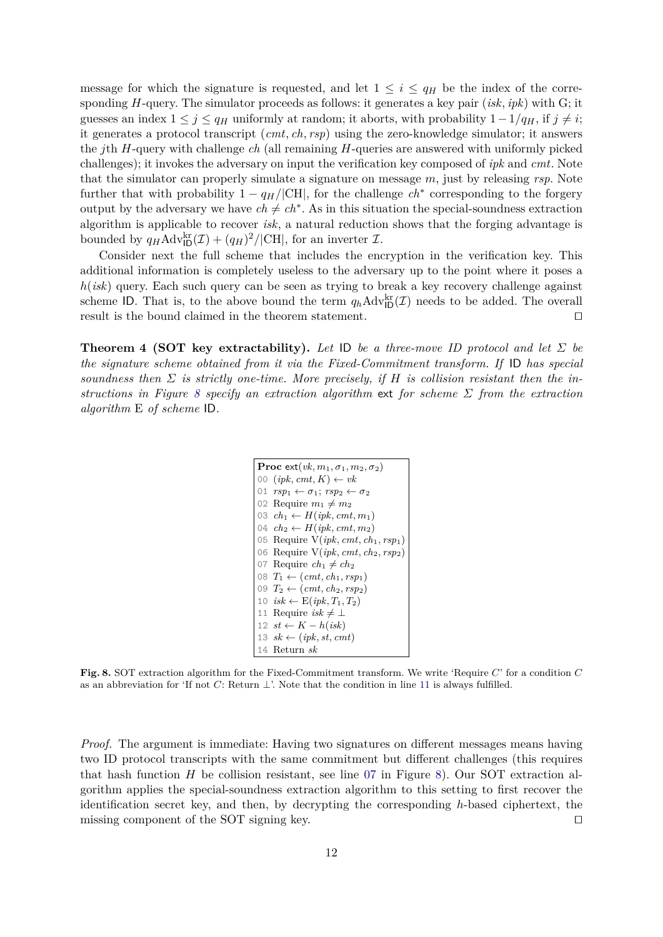message for which the signature is requested, and let  $1 \leq i \leq q_H$  be the index of the corresponding *H*-query. The simulator proceeds as follows: it generates a key pair (*isk, ipk*) with G; it guesses an index  $1 \leq j \leq q_H$  uniformly at random; it aborts, with probability  $1 - 1/q_H$ , if  $j \neq i$ ; it generates a protocol transcript (*cmt, ch, rsp*) using the zero-knowledge simulator; it answers the *j*th *H*-query with challenge *ch* (all remaining *H*-queries are answered with uniformly picked challenges); it invokes the adversary on input the verification key composed of *ipk* and *cmt*. Note that the simulator can properly simulate a signature on message *m*, just by releasing *rsp*. Note further that with probability  $1 - q_H / |CH|$ , for the challenge  $ch^*$  corresponding to the forgery output by the adversary we have  $ch \neq ch^*$ . As in this situation the special-soundness extraction algorithm is applicable to recover *isk*, a natural reduction shows that the forging advantage is bounded by  $q_H \text{Adv}_{\text{ID}}^{\text{kr}}(\mathcal{I}) + (q_H)^2 / |\text{CH}|$ , for an inverter  $\mathcal{I}$ .

Consider next the full scheme that includes the encryption in the verification key. This additional information is completely useless to the adversary up to the point where it poses a *h*(*isk*) query. Each such query can be seen as trying to break a key recovery challenge against scheme ID. That is, to the above bound the term  $q_h \text{Adv}_{ID}^{kr}(\mathcal{I})$  needs to be added. The overall result is the bound claimed in the theorem statement.  $\Box$ 

**Theorem 4 (SOT key extractability).** Let  $|D \text{ be a three-move } ID \text{ protocol and let } \Sigma \text{ be }$ *the signature scheme obtained from it via the Fixed-Commitment transform. If* ID *has special soundness then*  $\Sigma$  *is strictly one-time. More precisely, if*  $H$  *is collision resistant then the instructions in Figure [8](#page-11-0) specify an extraction algorithm* ext *for scheme Σ from the extraction algorithm* E *of scheme* ID*.*

<span id="page-11-2"></span><span id="page-11-1"></span>

<span id="page-11-0"></span>**Fig. 8.** SOT extraction algorithm for the Fixed-Commitment transform. We write 'Require *C*' for a condition *C* as an abbreviation for 'If not *C*: Return ⊥'. Note that the condition in line [11](#page-11-1) is always fulfilled.

*Proof.* The argument is immediate: Having two signatures on different messages means having two ID protocol transcripts with the same commitment but different challenges (this requires that hash function *H* be collision resistant, see line [07](#page-11-2) in Figure [8\)](#page-11-0). Our SOT extraction algorithm applies the special-soundness extraction algorithm to this setting to first recover the identification secret key, and then, by decrypting the corresponding *h*-based ciphertext, the missing component of the SOT signing key.  $\Box$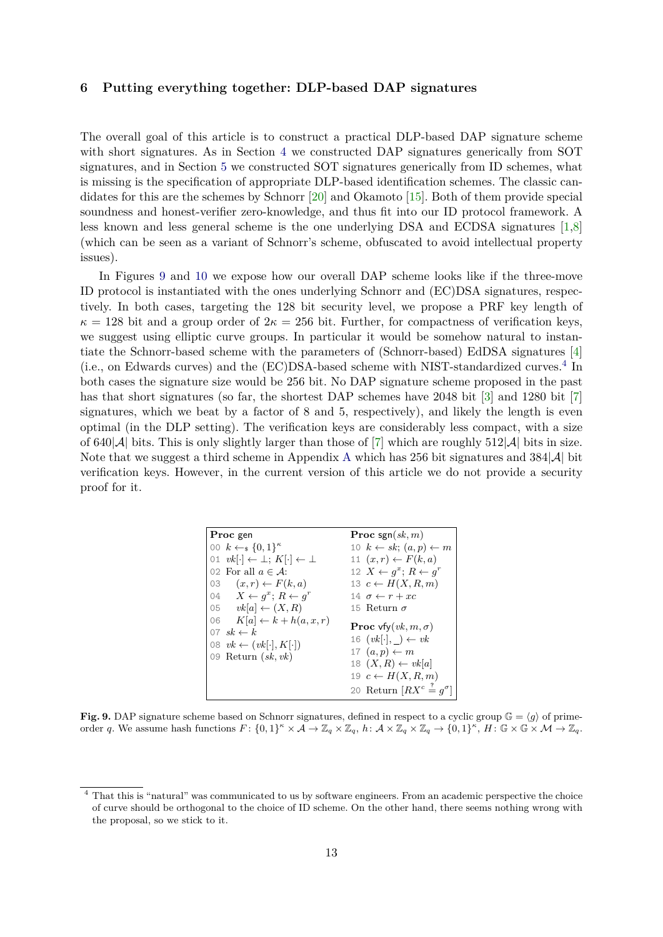## <span id="page-12-2"></span>**6 Putting everything together: DLP-based DAP signatures**

The overall goal of this article is to construct a practical DLP-based DAP signature scheme with short signatures. As in Section [4](#page-5-1) we constructed DAP signatures generically from SOT signatures, and in Section [5](#page-8-2) we constructed SOT signatures generically from ID schemes, what is missing is the specification of appropriate DLP-based identification schemes. The classic candidates for this are the schemes by Schnorr [\[20\]](#page-14-5) and Okamoto [\[15\]](#page-13-10). Both of them provide special soundness and honest-verifier zero-knowledge, and thus fit into our ID protocol framework. A less known and less general scheme is the one underlying DSA and ECDSA signatures [\[1,](#page-13-11)[8\]](#page-13-12) (which can be seen as a variant of Schnorr's scheme, obfuscated to avoid intellectual property issues).

In Figures [9](#page-12-0) and [10](#page-13-13) we expose how our overall DAP scheme looks like if the three-move ID protocol is instantiated with the ones underlying Schnorr and (EC)DSA signatures, respectively. In both cases, targeting the 128 bit security level, we propose a PRF key length of  $\kappa = 128$  bit and a group order of  $2\kappa = 256$  bit. Further, for compactness of verification keys, we suggest using elliptic curve groups. In particular it would be somehow natural to instantiate the Schnorr-based scheme with the parameters of (Schnorr-based) EdDSA signatures [\[4\]](#page-13-14) (i.e., on Edwards curves) and the (EC)DSA-based scheme with NIST-standardized curves.<sup>[4](#page-12-1)</sup> In both cases the signature size would be 256 bit. No DAP signature scheme proposed in the past has that short signatures (so far, the shortest DAP schemes have 2048 bit [\[3\]](#page-13-2) and 1280 bit [\[7\]](#page-13-3) signatures, which we beat by a factor of 8 and 5, respectively), and likely the length is even optimal (in the DLP setting). The verification keys are considerably less compact, with a size of 640|A| bits. This is only slightly larger than those of [\[7\]](#page-13-3) which are roughly 512|A| bits in size. Note that we suggest a third scheme in [A](#page-14-4)ppendix A which has 256 bit signatures and  $384|\mathcal{A}|$  bit verification keys. However, in the current version of this article we do not provide a security proof for it.

| Proc gen                                                                                                                        | <b>Proc</b> sgn(sk, m)                                                                                                                                                                                              |
|---------------------------------------------------------------------------------------------------------------------------------|---------------------------------------------------------------------------------------------------------------------------------------------------------------------------------------------------------------------|
| 00 $k \leftarrow_s \{0,1\}^{\kappa}$                                                                                            | 10 $k \leftarrow sk$ ; $(a, p) \leftarrow m$                                                                                                                                                                        |
| 01 $vk[\cdot] \leftarrow \perp; K[\cdot] \leftarrow \perp$                                                                      | 11 $(x, r) \leftarrow F(k, a)$                                                                                                                                                                                      |
| 02 For all $a \in \mathcal{A}$ :                                                                                                | 12 $X \leftarrow q^x$ ; $R \leftarrow q^r$                                                                                                                                                                          |
| 03 $(x,r) \leftarrow F(k,a)$                                                                                                    | 13 $c \leftarrow H(X, R, m)$                                                                                                                                                                                        |
| 04 $X \leftarrow g^x$ ; $R \leftarrow g^r$                                                                                      | 14 $\sigma \leftarrow r + xc$                                                                                                                                                                                       |
| 05 $vk[a] \leftarrow (X, R)$                                                                                                    | 15 Return $\sigma$                                                                                                                                                                                                  |
| 06 $K[a] \leftarrow k + h(a, x, r)$<br>07 $sk \leftarrow k$<br>08 $vk \leftarrow (vk[\cdot], K[\cdot])$<br>09 Return $(sk, vk)$ | <b>Proc</b> vfy $(vk, m, \sigma)$<br>16 $(vk[\cdot], \_) \leftarrow vk$<br>17 $(a, p) \leftarrow m$<br>18 $(X,R) \leftarrow vk[a]$<br>19 $c \leftarrow H(X, R, m)$<br>20 Return $[RX^c \stackrel{?}{=} g^{\sigma}]$ |

<span id="page-12-0"></span>**Fig. 9.** DAP signature scheme based on Schnorr signatures, defined in respect to a cyclic group  $\mathbb{G} = \langle g \rangle$  of primeorder *q*. We assume hash functions  $F: \{0,1\}^{\kappa} \times A \to \mathbb{Z}_q \times \mathbb{Z}_q$ ,  $h: A \times \mathbb{Z}_q \times \mathbb{Z}_q \to \{0,1\}^{\kappa}$ ,  $H: \mathbb{G} \times \mathbb{G} \times A \to \mathbb{Z}_q$ .

<span id="page-12-1"></span><sup>&</sup>lt;sup>4</sup> That this is "natural" was communicated to us by software engineers. From an academic perspective the choice of curve should be orthogonal to the choice of ID scheme. On the other hand, there seems nothing wrong with the proposal, so we stick to it.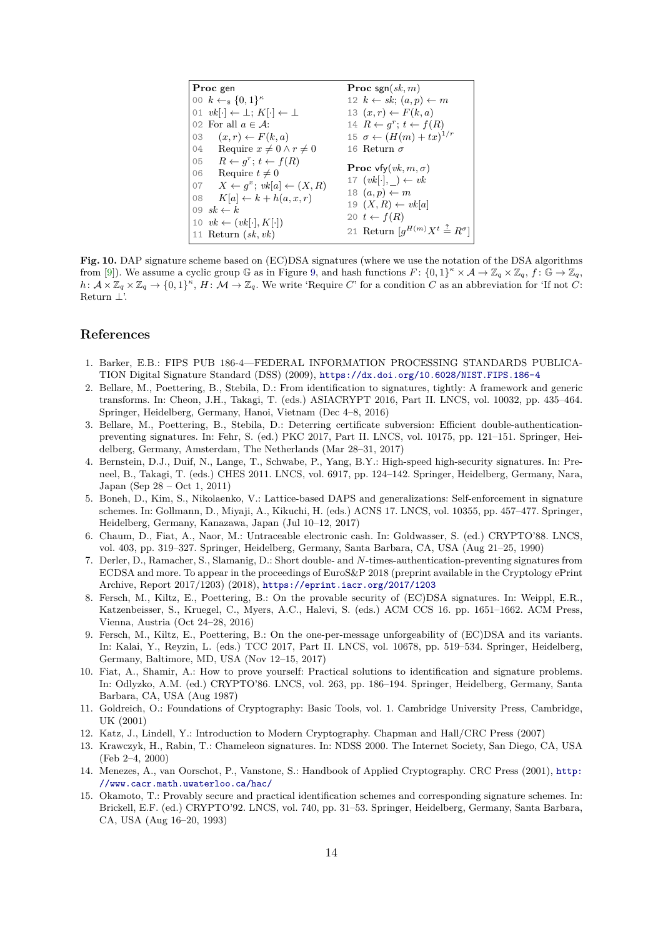| Proc gen                                                   | <b>Proc</b> sgn(sk, m)                                         |
|------------------------------------------------------------|----------------------------------------------------------------|
| 00 $k \leftarrow_s \{0,1\}^{\kappa}$                       | 12 $k \leftarrow sk$ ; $(a, p) \leftarrow m$                   |
| 01 $vk[\cdot] \leftarrow \perp; K[\cdot] \leftarrow \perp$ | 13 $(x, r) \leftarrow F(k, a)$                                 |
| 02 For all $a \in \mathcal{A}$ :                           | 14 $R \leftarrow q^r$ ; $t \leftarrow f(R)$                    |
| 03 $(x,r) \leftarrow F(k,a)$                               | 15 $\sigma \leftarrow (H(m) + tx)^{1/r}$                       |
| 04 Require $x \neq 0 \wedge r \neq 0$                      | 16 Return $\sigma$                                             |
| 05 $R \leftarrow q^r$ ; $t \leftarrow f(R)$                | <b>Proc</b> vfy $(vk, m, \sigma)$                              |
| 06 Require $t \neq 0$                                      |                                                                |
| 07 $X \leftarrow q^x$ ; $vk[a] \leftarrow (X, R)$          | 17 $(vk[\cdot], \_) \leftarrow vk$<br>18 $(a, p) \leftarrow m$ |
| 08 $K[a] \leftarrow k + h(a, x, r)$                        |                                                                |
| 09 $sk \leftarrow k$                                       | 19 $(X,R) \leftarrow vk[a]$<br>20 $t \leftarrow f(R)$          |
| 10 $vk \leftarrow (vk[\cdot], K[\cdot])$                   |                                                                |
| 11 Return $(sk, vk)$                                       | 21 Return $[q^{H(m)}X^t \stackrel{?}{=} R^{\sigma}]$           |

<span id="page-13-13"></span>**Fig. 10.** DAP signature scheme based on (EC)DSA signatures (where we use the notation of the DSA algorithms from [\[9\]](#page-13-15)). We assume a cyclic group  $\mathbb{G}$  as in Figure [9,](#page-12-0) and hash functions  $F: \{0,1\}^{\kappa} \times \mathcal{A} \to \mathbb{Z}_q \times \mathbb{Z}_q, f: \mathbb{G} \to \mathbb{Z}_q$  $h: \mathcal{A} \times \mathbb{Z}_q \times \mathbb{Z}_q \to \{0,1\}^{\kappa}, H: \mathcal{M} \to \mathbb{Z}_q$ . We write 'Require *C*' for a condition *C* as an abbreviation for 'If not *C*: Return ⊥'.

# **References**

- <span id="page-13-11"></span>1. Barker, E.B.: FIPS PUB 186-4—FEDERAL INFORMATION PROCESSING STANDARDS PUBLICA-TION Digital Signature Standard (DSS) (2009), <https://dx.doi.org/10.6028/NIST.FIPS.186-4>
- <span id="page-13-9"></span>2. Bellare, M., Poettering, B., Stebila, D.: From identification to signatures, tightly: A framework and generic transforms. In: Cheon, J.H., Takagi, T. (eds.) ASIACRYPT 2016, Part II. LNCS, vol. 10032, pp. 435–464. Springer, Heidelberg, Germany, Hanoi, Vietnam (Dec 4–8, 2016)
- <span id="page-13-2"></span>3. Bellare, M., Poettering, B., Stebila, D.: Deterring certificate subversion: Efficient double-authenticationpreventing signatures. In: Fehr, S. (ed.) PKC 2017, Part II. LNCS, vol. 10175, pp. 121–151. Springer, Heidelberg, Germany, Amsterdam, The Netherlands (Mar 28–31, 2017)
- <span id="page-13-14"></span>4. Bernstein, D.J., Duif, N., Lange, T., Schwabe, P., Yang, B.Y.: High-speed high-security signatures. In: Preneel, B., Takagi, T. (eds.) CHES 2011. LNCS, vol. 6917, pp. 124–142. Springer, Heidelberg, Germany, Nara, Japan (Sep 28 – Oct 1, 2011)
- <span id="page-13-1"></span>5. Boneh, D., Kim, S., Nikolaenko, V.: Lattice-based DAPS and generalizations: Self-enforcement in signature schemes. In: Gollmann, D., Miyaji, A., Kikuchi, H. (eds.) ACNS 17. LNCS, vol. 10355, pp. 457–477. Springer, Heidelberg, Germany, Kanazawa, Japan (Jul 10–12, 2017)
- <span id="page-13-0"></span>6. Chaum, D., Fiat, A., Naor, M.: Untraceable electronic cash. In: Goldwasser, S. (ed.) CRYPTO'88. LNCS, vol. 403, pp. 319–327. Springer, Heidelberg, Germany, Santa Barbara, CA, USA (Aug 21–25, 1990)
- <span id="page-13-3"></span>7. Derler, D., Ramacher, S., Slamanig, D.: Short double- and *N*-times-authentication-preventing signatures from ECDSA and more. To appear in the proceedings of EuroS&P 2018 (preprint available in the Cryptology ePrint Archive, Report 2017/1203) (2018), <https://eprint.iacr.org/2017/1203>
- <span id="page-13-12"></span>8. Fersch, M., Kiltz, E., Poettering, B.: On the provable security of (EC)DSA signatures. In: Weippl, E.R., Katzenbeisser, S., Kruegel, C., Myers, A.C., Halevi, S. (eds.) ACM CCS 16. pp. 1651–1662. ACM Press, Vienna, Austria (Oct 24–28, 2016)
- <span id="page-13-15"></span>9. Fersch, M., Kiltz, E., Poettering, B.: On the one-per-message unforgeability of (EC)DSA and its variants. In: Kalai, Y., Reyzin, L. (eds.) TCC 2017, Part II. LNCS, vol. 10678, pp. 519–534. Springer, Heidelberg, Germany, Baltimore, MD, USA (Nov 12–15, 2017)
- <span id="page-13-5"></span>10. Fiat, A., Shamir, A.: How to prove yourself: Practical solutions to identification and signature problems. In: Odlyzko, A.M. (ed.) CRYPTO'86. LNCS, vol. 263, pp. 186–194. Springer, Heidelberg, Germany, Santa Barbara, CA, USA (Aug 1987)
- <span id="page-13-6"></span>11. Goldreich, O.: Foundations of Cryptography: Basic Tools, vol. 1. Cambridge University Press, Cambridge, UK (2001)
- <span id="page-13-7"></span>12. Katz, J., Lindell, Y.: Introduction to Modern Cryptography. Chapman and Hall/CRC Press (2007)
- <span id="page-13-4"></span>13. Krawczyk, H., Rabin, T.: Chameleon signatures. In: NDSS 2000. The Internet Society, San Diego, CA, USA (Feb 2–4, 2000)
- <span id="page-13-8"></span>14. Menezes, A., van Oorschot, P., Vanstone, S.: Handbook of Applied Cryptography. CRC Press (2001), [http:](http://www.cacr.math.uwaterloo.ca/hac/) [//www.cacr.math.uwaterloo.ca/hac/](http://www.cacr.math.uwaterloo.ca/hac/)
- <span id="page-13-10"></span>15. Okamoto, T.: Provably secure and practical identification schemes and corresponding signature schemes. In: Brickell, E.F. (ed.) CRYPTO'92. LNCS, vol. 740, pp. 31–53. Springer, Heidelberg, Germany, Santa Barbara, CA, USA (Aug 16–20, 1993)